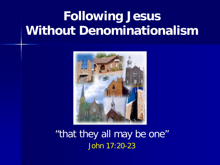# **Following Jesus Without Denominationalism**



"that they all may be one" John 17:20-23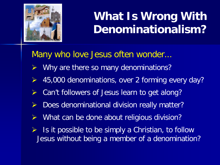

### **What Is Wrong With Denominationalism?**

Many who love Jesus often wonder...

- Why are there so many denominations?
- 45,000 denominations, over 2 forming every day?
- Can't followers of Jesus learn to get along?
- Does denominational division really matter?
- What can be done about religious division?
- Is it possible to be simply a Christian, to follow Jesus without being a member of a denomination?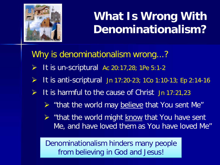

### **What Is Wrong With Denominationalism?**

Why is denominationalism wrong...?

- It is un-scriptural Ac 20:17,28; 1Pe 5:1-2
- $\triangleright$  It is anti-scriptural Jn 17:20-23; 1Co 1:10-13; Ep 2:14-16
- It is harmful to the cause of Christ Jn 17:21,23
	- $\triangleright$  "that the world may believe that You sent Me"
	- $\triangleright$  "that the world might know that You have sent Me, and have loved them as You have loved Me"

Denominationalism hinders many people from believing in God and Jesus!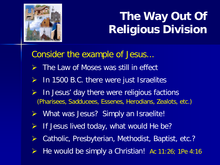

## **The Way Out Of Religious Division**

Consider the example of Jesus...

- $\triangleright$  The Law of Moses was still in effect
- $\triangleright$  In 1500 B.C. there were just Israelites
- In Jesus' day there were religious factions (Pharisees, Sadducees, Essenes, Herodians, Zealots, etc.)
- ▶ What was Jesus? Simply an Israelite!
- $\triangleright$  If Jesus lived today, what would He be?
- Catholic, Presbyterian, Methodist, Baptist, etc.?
- He would be simply a Christian! Ac 11:26; 1Pe 4:16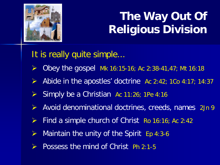

## **The Way Out Of Religious Division**

It is really quite simple...

- $\triangleright$  Obey the gospel Mk 16:15-16; Ac 2:38-41,47; Mt 16:18
- Abide in the apostles' doctrine Ac 2:42; 1Co 4:17; 14:37
- $\triangleright$  Simply be a Christian Ac 11:26; 1Pe 4:16
- $\triangleright$  Avoid denominational doctrines, creeds, names 2Jn 9
- $\triangleright$  Find a simple church of Christ Ro 16:16; Ac 2:42
- $\triangleright$  Maintain the unity of the Spirit Ep 4:3-6
- Possess the mind of Christ Ph 2:1-5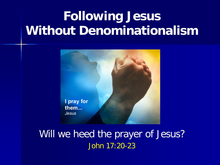# **Following Jesus Without Denominationalism**



Will we heed the prayer of Jesus? John 17:20-23